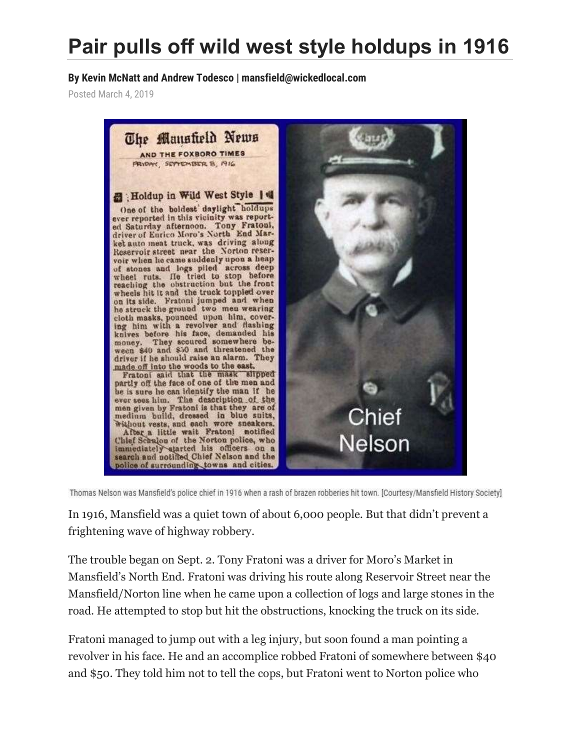## **Pair pulls off wild west style holdups in 1916**

**By Kevin McNatt and Andrew Todesco | mansfield@wickedlocal.com**

Posted March 4, 2019



Thomas Nelson was Mansfield's police chief in 1916 when a rash of brazen robberies hit town. [Courtesy/Mansfield History Society]

In 1916, Mansfield was a quiet town of about 6,000 people. But that didn't prevent a frightening wave of highway robbery.

The trouble began on Sept. 2. Tony Fratoni was a driver for Moro's Market in Mansfield's North End. Fratoni was driving his route along Reservoir Street near the Mansfield/Norton line when he came upon a collection of logs and large stones in the road. He attempted to stop but hit the obstructions, knocking the truck on its side.

Fratoni managed to jump out with a leg injury, but soon found a man pointing a revolver in his face. He and an accomplice robbed Fratoni of somewhere between \$40 and \$50. They told him not to tell the cops, but Fratoni went to Norton police who